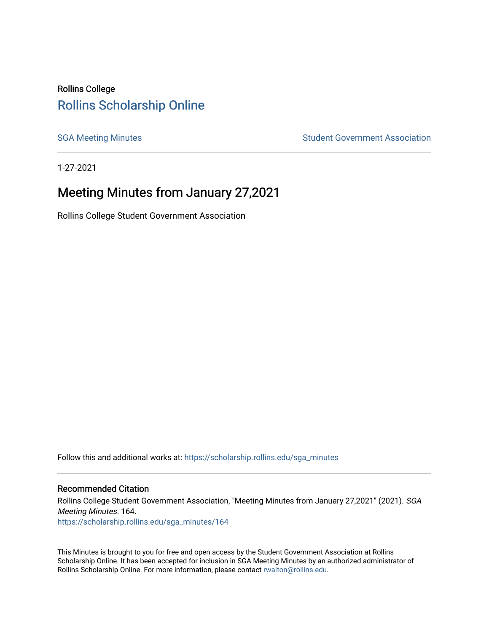## Rollins College [Rollins Scholarship Online](https://scholarship.rollins.edu/)

[SGA Meeting Minutes](https://scholarship.rollins.edu/sga_minutes) **SGA Meeting Minutes** SGA Meeting Minutes **STEER** Student Government Association

1-27-2021

# Meeting Minutes from January 27,2021

Rollins College Student Government Association

Follow this and additional works at: [https://scholarship.rollins.edu/sga\\_minutes](https://scholarship.rollins.edu/sga_minutes?utm_source=scholarship.rollins.edu%2Fsga_minutes%2F164&utm_medium=PDF&utm_campaign=PDFCoverPages)

#### Recommended Citation

Rollins College Student Government Association, "Meeting Minutes from January 27,2021" (2021). SGA Meeting Minutes. 164. [https://scholarship.rollins.edu/sga\\_minutes/164](https://scholarship.rollins.edu/sga_minutes/164?utm_source=scholarship.rollins.edu%2Fsga_minutes%2F164&utm_medium=PDF&utm_campaign=PDFCoverPages)

This Minutes is brought to you for free and open access by the Student Government Association at Rollins Scholarship Online. It has been accepted for inclusion in SGA Meeting Minutes by an authorized administrator of Rollins Scholarship Online. For more information, please contact [rwalton@rollins.edu](mailto:rwalton@rollins.edu).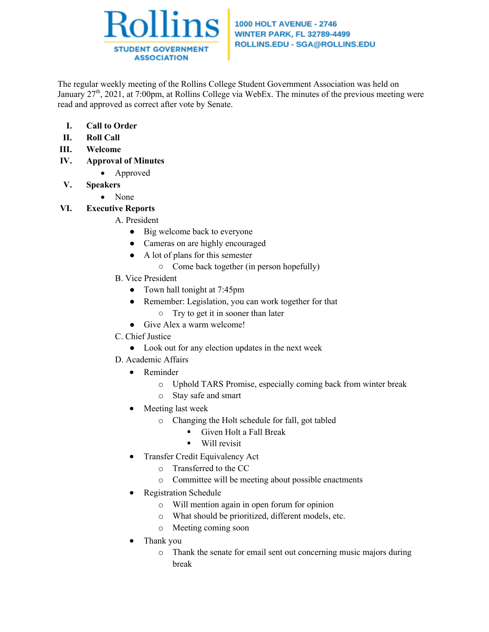

### **1000 HOLT AVENUE - 2746 WINTER PARK, FL 32789-4499** ROLLINS.EDU - SGA@ROLLINS.EDU

The regular weekly meeting of the Rollins College Student Government Association was held on January  $27<sup>th</sup>$ , 2021, at 7:00pm, at Rollins College via WebEx. The minutes of the previous meeting were read and approved as correct after vote by Senate.

- **I. Call to Order**
- **II. Roll Call**
- **III. Welcome**
- **IV. Approval of Minutes**
	- Approved
- **V. Speakers**
	- None
- **VI. Executive Reports**

## A. President

- Big welcome back to everyone
- Cameras on are highly encouraged
- A lot of plans for this semester
	- Come back together (in person hopefully)
- B. Vice President
	- Town hall tonight at 7:45pm
		- Remember: Legislation, you can work together for that
		- Try to get it in sooner than later
	- Give Alex a warm welcome!
- C. Chief Justice
	- Look out for any election updates in the next week
- D. Academic Affairs
	- Reminder
		- o Uphold TARS Promise, especially coming back from winter break
		- o Stay safe and smart
	- Meeting last week
		- o Changing the Holt schedule for fall, got tabled
			- Given Holt a Fall Break
			- Will revisit
	- Transfer Credit Equivalency Act
		- o Transferred to the CC
		- o Committee will be meeting about possible enactments
	- Registration Schedule
		- o Will mention again in open forum for opinion
		- o What should be prioritized, different models, etc.
		- o Meeting coming soon
	- Thank you
		- o Thank the senate for email sent out concerning music majors during break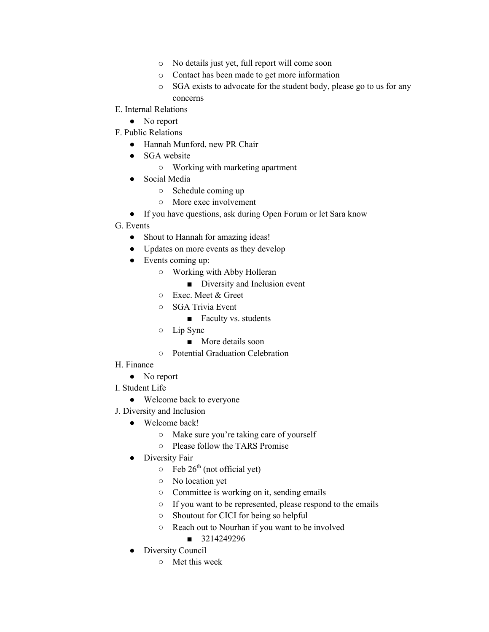- o No details just yet, full report will come soon
- o Contact has been made to get more information
- o SGA exists to advocate for the student body, please go to us for any concerns
- E. Internal Relations
	- No report
- F. Public Relations
	- Hannah Munford, new PR Chair
	- SGA website
		- Working with marketing apartment
	- Social Media
		- Schedule coming up
		- More exec involvement
	- If you have questions, ask during Open Forum or let Sara know
- G. Events
	- Shout to Hannah for amazing ideas!
	- Updates on more events as they develop
	- Events coming up:
		- Working with Abby Holleran
			- Diversity and Inclusion event
		- Exec. Meet & Greet
		- SGA Trivia Event
			- Faculty vs. students
		- Lip Sync
			- More details soon
		- Potential Graduation Celebration
- H. Finance
	- No report
- I. Student Life
	- Welcome back to everyone
- J. Diversity and Inclusion
	- Welcome back!
		- Make sure you're taking care of yourself
		- Please follow the TARS Promise
	- Diversity Fair
		- $\circ$  Feb 26<sup>th</sup> (not official yet)
		- No location yet
		- Committee is working on it, sending emails
		- If you want to be represented, please respond to the emails
		- Shoutout for CICI for being so helpful
		- Reach out to Nourhan if you want to be involved
			- 3214249296
	- Diversity Council
		- Met this week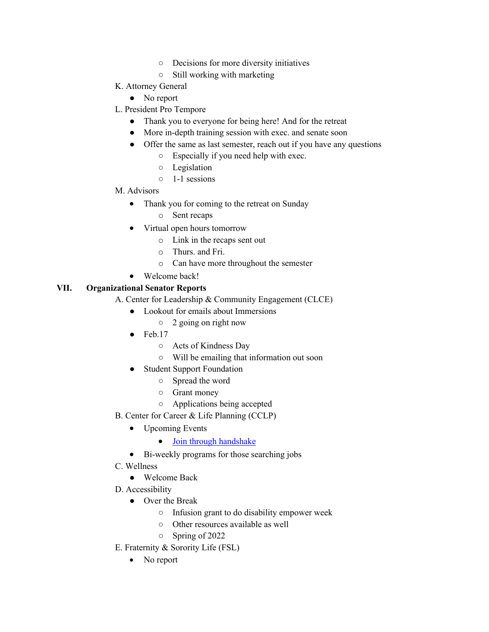- Decisions for more diversity initiatives
- Still working with marketing
- K. Attorney General
	- No report
- L. President Pro Tempore
	- Thank you to everyone for being here! And for the retreat
	- More in-depth training session with exec. and senate soon
	- Offer the same as last semester, reach out if you have any questions
		- Especially if you need help with exec.
		- Legislation
		- 1-1 sessions
- M. Advisors
	- Thank you for coming to the retreat on Sunday
		- o Sent recaps
	- Virtual open hours tomorrow
		- o Link in the recaps sent out
		- o Thurs. and Fri.
		- o Can have more throughout the semester
	- Welcome back!

### **VII. Organizational Senator Reports**

- A. Center for Leadership & Community Engagement (CLCE)
	- Lookout for emails about Immersions
		- 2 going on right now
	- $\bullet$  Feb.17
		- Acts of Kindness Day
		- Will be emailing that information out soon
	- **Student Support Foundation** 
		- Spread the word
		- Grant money
		- Applications being accepted
- B. Center for Career & Life Planning (CCLP)
	- Upcoming Events
		- Join through handshake
	- Bi-weekly programs for those searching jobs
- C. Wellness
	- Welcome Back
- D. Accessibility
	- Over the Break
		- Infusion grant to do disability empower week
		- Other resources available as well
		- Spring of 2022
- E. Fraternity & Sorority Life (FSL)
	- No report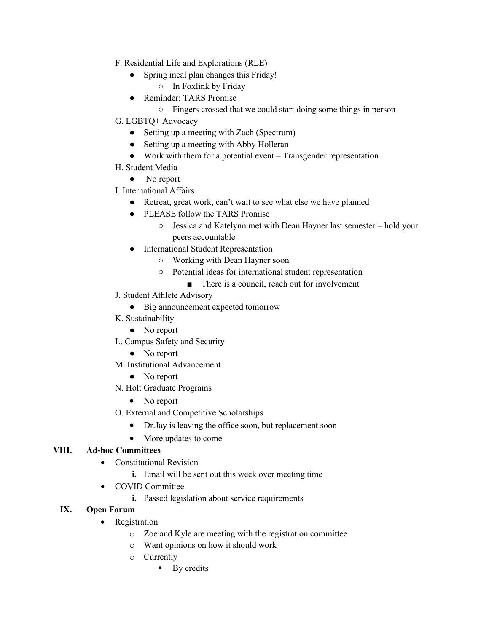- F. Residential Life and Explorations (RLE)
	- Spring meal plan changes this Friday!
		- In Foxlink by Friday
	- Reminder: TARS Promise
		- Fingers crossed that we could start doing some things in person
- G. LGBTQ+ Advocacy
	- Setting up a meeting with Zach (Spectrum)
	- Setting up a meeting with Abby Holleran
	- Work with them for a potential event Transgender representation
- H. Student Media
	- No report
- I. International Affairs
	- Retreat, great work, can't wait to see what else we have planned
	- PLEASE follow the TARS Promise
		- Jessica and Katelynn met with Dean Hayner last semester hold your peers accountable
	- International Student Representation
		- Working with Dean Hayner soon
		- Potential ideas for international student representation
			- There is a council, reach out for involvement
- J. Student Athlete Advisory
	- Big announcement expected tomorrow
- K. Sustainability
	- No report
- L. Campus Safety and Security
	- No report
- M. Institutional Advancement
	- No report
- N. Holt Graduate Programs
	- No report
- O. External and Competitive Scholarships
	- Dr.Jay is leaving the office soon, but replacement soon
	- More updates to come

## **VIII. Ad-hoc Committees**

- Constitutional Revision
	- **i.** Email will be sent out this week over meeting time
- COVID Committee
	- **i.** Passed legislation about service requirements
- **IX. Open Forum**
	- Registration
		- o Zoe and Kyle are meeting with the registration committee
		- o Want opinions on how it should work
		- o Currently
			- By credits